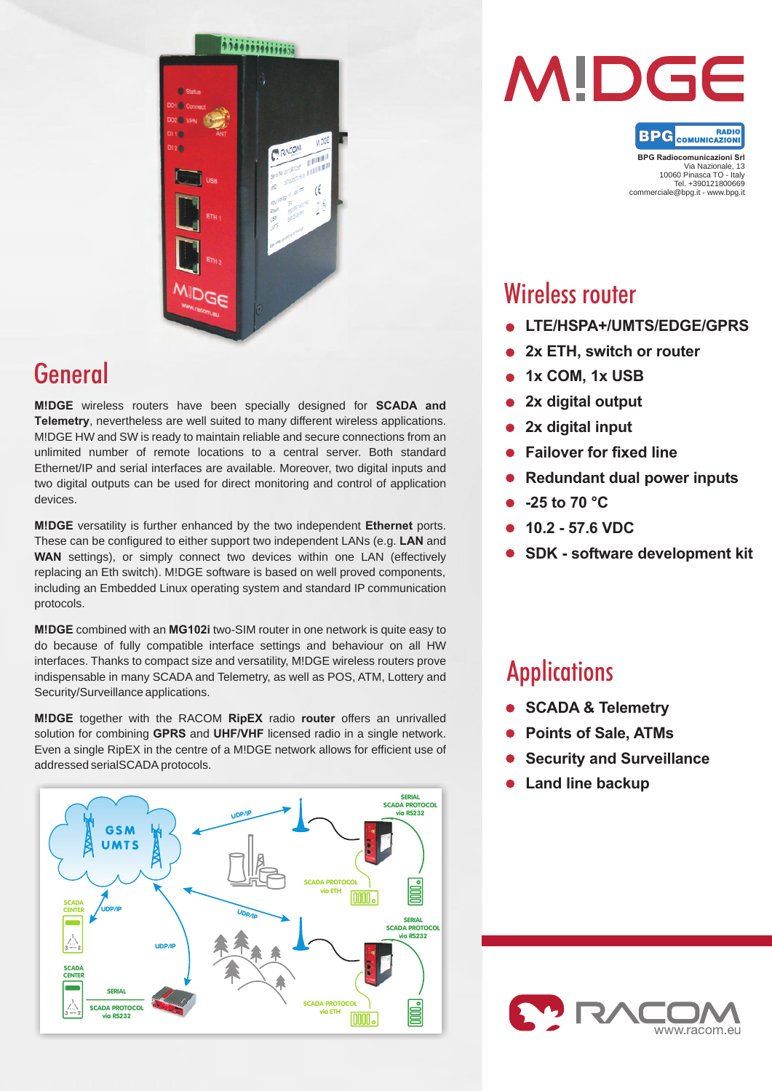

# General

**M!DGE** wireless routers have been specially designed for **SCADA and Telemetry**, nevertheless are well suited to many different wireless applications. M!DGE HW and SW is ready to maintain reliable and secure connections from an unlimited number of remote locations to a central server. Both standard Ethernet/IP and serial interfaces are available. Moreover, two digital inputs and two digital outputs can be used for direct monitoring and control of application devices.

**M!DGE** versatility is further enhanced by the two independent **Ethernet** ports. These can be configured to either support two independent LANs (e.g. **LAN** and WAN settings), or simply connect two devices within one LAN (effectively replacing an Eth switch). M!DGE software is based on well proved components, including an Embedded Linux operating system and standard IP communication protocols.

**M!DGE** combined with an **MG102i** two-SIM router in one network is quite easy to do because of fully compatible interface settings and behaviour on all HW interfaces. Thanks to compact size and versatility, M!DGE wireless routers prove indispensable in many SCADA and Telemetry, as well as POS, ATM, Lottery and Security/Surveillance applications.

**M!DGE** together with the RACOM **RipEX** radio **router** offers an unrivalled solution for combining **GPRS** and **UHF/VHF** licensed radio in a single network. Even a single RipEX in the centre of a M!DGE network allows for efficient use of addressed serialSCADA protocols.





**BPG** COMUNICAZION **BPG Radiocomunicazioni Srl**

Via Nazionale, 13 10060 Pinasca TO - Italy Tel. +390121800669 commerciale@bpg.it - www.bpg.it

# Wireless router

- **LTE/HSPA+/UMTS/EDGE/GPRS**
- **2x ETH, switch or router**
- **1x COM, 1x USB**
- **2x digital output**   $\bullet$
- **2x digital input**
- **Failover for fixed line**
- **Redundant dual power inputs**
- **-25 to 70 °C**
- **10.2 57.6 VDC**
- **SDK software development kit**

# **Applications**

- **SCADA & Telemetry**
- **Points of Sale, ATMs**
- **Security and Surveillance**
- **Land line backup**